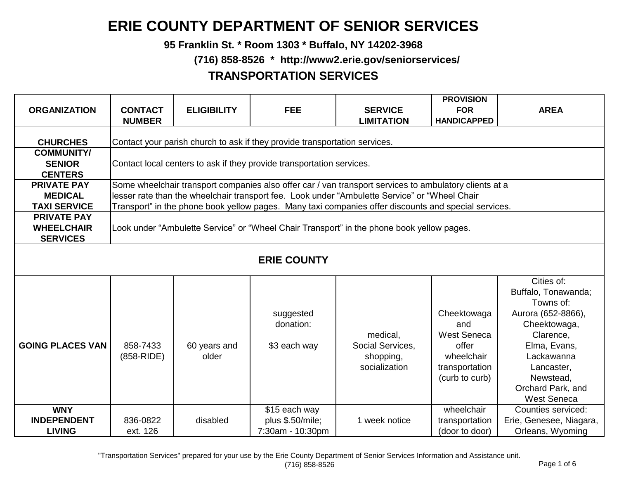## **ERIE COUNTY DEPARTMENT OF SENIOR SERVICES**

**95 Franklin St. \* Room 1303 \* Buffalo, NY 14202-3968**

 **(716) 858-8526 \* http://www2.erie.gov/seniorservices/**

## **TRANSPORTATION SERVICES**

| <b>ORGANIZATION</b>                                         | <b>CONTACT</b><br><b>NUMBER</b>                                                                                                                                                                                                                                                                                                                                                                                                                                         | <b>ELIGIBILITY</b> | <b>FEE</b>                                            | <b>SERVICE</b><br><b>LIMITATION</b>                                                                                                                                                                                                                                                                             | <b>PROVISION</b><br><b>FOR</b><br><b>HANDICAPPED</b> | <b>AREA</b>                                                       |  |  |  |
|-------------------------------------------------------------|-------------------------------------------------------------------------------------------------------------------------------------------------------------------------------------------------------------------------------------------------------------------------------------------------------------------------------------------------------------------------------------------------------------------------------------------------------------------------|--------------------|-------------------------------------------------------|-----------------------------------------------------------------------------------------------------------------------------------------------------------------------------------------------------------------------------------------------------------------------------------------------------------------|------------------------------------------------------|-------------------------------------------------------------------|--|--|--|
| <b>CHURCHES</b>                                             | Contact your parish church to ask if they provide transportation services.                                                                                                                                                                                                                                                                                                                                                                                              |                    |                                                       |                                                                                                                                                                                                                                                                                                                 |                                                      |                                                                   |  |  |  |
| <b>COMMUNITY/</b><br><b>SENIOR</b><br><b>CENTERS</b>        | Contact local centers to ask if they provide transportation services.                                                                                                                                                                                                                                                                                                                                                                                                   |                    |                                                       |                                                                                                                                                                                                                                                                                                                 |                                                      |                                                                   |  |  |  |
| <b>PRIVATE PAY</b><br><b>MEDICAL</b><br><b>TAXI SERVICE</b> |                                                                                                                                                                                                                                                                                                                                                                                                                                                                         |                    |                                                       | Some wheelchair transport companies also offer car / van transport services to ambulatory clients at a<br>lesser rate than the wheelchair transport fee. Look under "Ambulette Service" or "Wheel Chair<br>Transport" in the phone book yellow pages. Many taxi companies offer discounts and special services. |                                                      |                                                                   |  |  |  |
| <b>PRIVATE PAY</b><br><b>WHEELCHAIR</b><br><b>SERVICES</b>  |                                                                                                                                                                                                                                                                                                                                                                                                                                                                         |                    |                                                       | Look under "Ambulette Service" or "Wheel Chair Transport" in the phone book yellow pages.                                                                                                                                                                                                                       |                                                      |                                                                   |  |  |  |
|                                                             | <b>ERIE COUNTY</b>                                                                                                                                                                                                                                                                                                                                                                                                                                                      |                    |                                                       |                                                                                                                                                                                                                                                                                                                 |                                                      |                                                                   |  |  |  |
| <b>GOING PLACES VAN</b>                                     | Cities of:<br>Buffalo, Tonawanda;<br>Towns of:<br>Cheektowaga<br>Aurora (652-8866),<br>suggested<br>donation:<br>Cheektowaga,<br>and<br><b>West Seneca</b><br>Clarence,<br>medical,<br>858-7433<br>Social Services,<br>Elma, Evans,<br>60 years and<br>\$3 each way<br>offer<br>(858-RIDE)<br>older<br>wheelchair<br>Lackawanna<br>shopping,<br>socialization<br>transportation<br>Lancaster,<br>Newstead,<br>(curb to curb)<br>Orchard Park, and<br><b>West Seneca</b> |                    |                                                       |                                                                                                                                                                                                                                                                                                                 |                                                      |                                                                   |  |  |  |
| <b>WNY</b><br><b>INDEPENDENT</b><br><b>LIVING</b>           | 836-0822<br>ext. 126                                                                                                                                                                                                                                                                                                                                                                                                                                                    | disabled           | \$15 each way<br>plus \$.50/mile;<br>7:30am - 10:30pm | 1 week notice                                                                                                                                                                                                                                                                                                   | wheelchair<br>transportation<br>(door to door)       | Counties serviced:<br>Erie, Genesee, Niagara,<br>Orleans, Wyoming |  |  |  |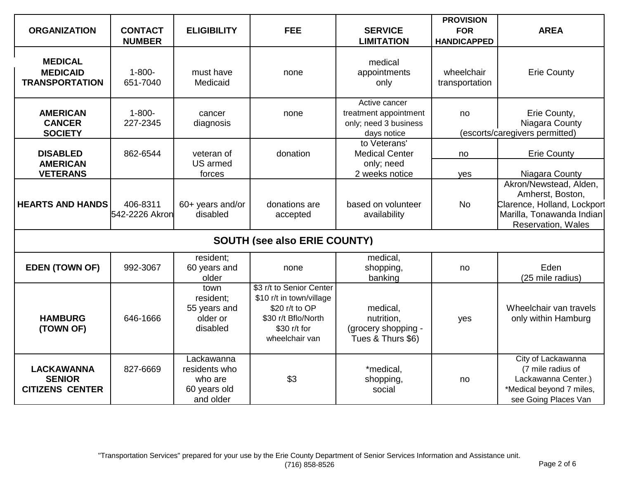| <b>ORGANIZATION</b>                                          | <b>CONTACT</b><br><b>NUMBER</b> | <b>ELIGIBILITY</b>                                                  | <b>FEE</b>                                                                                                                      | <b>SERVICE</b><br><b>LIMITATION</b>                                            | <b>PROVISION</b><br><b>FOR</b><br><b>HANDICAPPED</b> | <b>AREA</b>                                                                                                                         |  |
|--------------------------------------------------------------|---------------------------------|---------------------------------------------------------------------|---------------------------------------------------------------------------------------------------------------------------------|--------------------------------------------------------------------------------|------------------------------------------------------|-------------------------------------------------------------------------------------------------------------------------------------|--|
| <b>MEDICAL</b><br><b>MEDICAID</b><br><b>TRANSPORTATION</b>   | $1 - 800 -$<br>651-7040         | must have<br>Medicaid                                               | none                                                                                                                            | medical<br>appointments<br>only                                                | wheelchair<br>transportation                         | <b>Erie County</b>                                                                                                                  |  |
| <b>AMERICAN</b><br><b>CANCER</b><br><b>SOCIETY</b>           | $1 - 800 -$<br>227-2345         | cancer<br>diagnosis                                                 | none                                                                                                                            | Active cancer<br>treatment appointment<br>only; need 3 business<br>days notice | no                                                   | Erie County,<br>Niagara County<br>(escorts/caregivers permitted)                                                                    |  |
| <b>DISABLED</b><br><b>AMERICAN</b><br><b>VETERANS</b>        | 862-6544                        | veteran of<br>US armed<br>forces                                    | donation                                                                                                                        | to Veterans'<br><b>Medical Center</b><br>only; need<br>2 weeks notice          | no<br>yes                                            | <b>Erie County</b><br>Niagara County                                                                                                |  |
| <b>HEARTS AND HANDS</b>                                      | 406-8311<br>542-2226 Akron      | 60+ years and/or<br>disabled                                        | donations are<br>accepted                                                                                                       | based on volunteer<br>availability                                             | <b>No</b>                                            | Akron/Newstead, Alden,<br>Amherst, Boston,<br>Clarence, Holland, Lockport<br>Marilla, Tonawanda Indian<br><b>Reservation, Wales</b> |  |
| <b>SOUTH (see also ERIE COUNTY)</b>                          |                                 |                                                                     |                                                                                                                                 |                                                                                |                                                      |                                                                                                                                     |  |
| <b>EDEN (TOWN OF)</b>                                        | 992-3067                        | resident;<br>60 years and<br>older                                  | none                                                                                                                            | medical.<br>shopping,<br>banking                                               | no                                                   | Eden<br>(25 mile radius)                                                                                                            |  |
| <b>HAMBURG</b><br>(TOWN OF)                                  | 646-1666                        | town<br>resident;<br>55 years and<br>older or<br>disabled           | \$3 r/t to Senior Center<br>\$10 r/t in town/village<br>\$20 r/t to OP<br>\$30 r/t Bflo/North<br>\$30 r/t for<br>wheelchair van | medical,<br>nutrition,<br>(grocery shopping -<br>Tues & Thurs \$6)             | yes                                                  | Wheelchair van travels<br>only within Hamburg                                                                                       |  |
| <b>LACKAWANNA</b><br><b>SENIOR</b><br><b>CITIZENS CENTER</b> | 827-6669                        | Lackawanna<br>residents who<br>who are<br>60 years old<br>and older | \$3                                                                                                                             | *medical,<br>shopping,<br>social                                               | no                                                   | City of Lackawanna<br>(7 mile radius of<br>Lackawanna Center.)<br>*Medical beyond 7 miles,<br>see Going Places Van                  |  |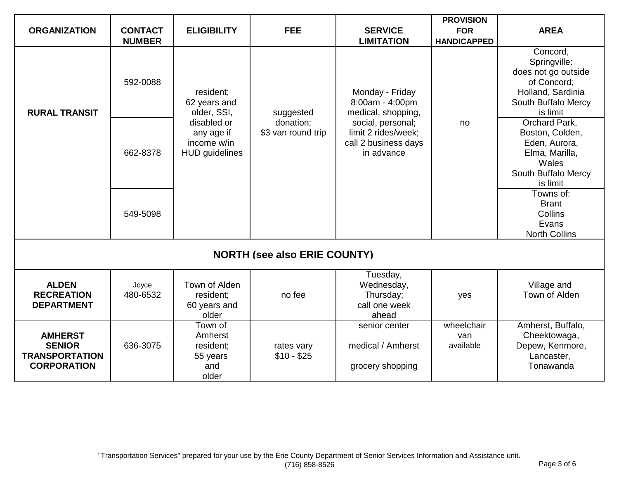|                                                                                |                   |                                                                   |                                 |                                                                                | <b>PROVISION</b>               |                                                                                                                        |  |
|--------------------------------------------------------------------------------|-------------------|-------------------------------------------------------------------|---------------------------------|--------------------------------------------------------------------------------|--------------------------------|------------------------------------------------------------------------------------------------------------------------|--|
| <b>ORGANIZATION</b>                                                            | <b>CONTACT</b>    | <b>ELIGIBILITY</b>                                                | <b>FEE</b>                      | <b>SERVICE</b>                                                                 | <b>FOR</b>                     | <b>AREA</b>                                                                                                            |  |
|                                                                                | <b>NUMBER</b>     |                                                                   |                                 | <b>LIMITATION</b>                                                              | <b>HANDICAPPED</b>             |                                                                                                                        |  |
| <b>RURAL TRANSIT</b>                                                           | 592-0088          | resident;<br>62 years and<br>older, SSI,                          | suggested                       | Monday - Friday<br>8:00am - 4:00pm<br>medical, shopping,                       |                                | Concord,<br>Springville:<br>does not go outside<br>of Concord;<br>Holland, Sardinia<br>South Buffalo Mercy<br>is limit |  |
|                                                                                | 662-8378          | disabled or<br>any age if<br>income w/in<br><b>HUD</b> guidelines | donation:<br>\$3 van round trip | social, personal;<br>limit 2 rides/week;<br>call 2 business days<br>in advance | no                             | Orchard Park,<br>Boston, Colden,<br>Eden, Aurora,<br>Elma, Marilla,<br>Wales<br>South Buffalo Mercy<br>is limit        |  |
|                                                                                | 549-5098          |                                                                   |                                 |                                                                                |                                | Towns of:<br><b>Brant</b><br>Collins<br>Evans<br><b>North Collins</b>                                                  |  |
| <b>NORTH (see also ERIE COUNTY)</b>                                            |                   |                                                                   |                                 |                                                                                |                                |                                                                                                                        |  |
| <b>ALDEN</b><br><b>RECREATION</b><br><b>DEPARTMENT</b>                         | Joyce<br>480-6532 | Town of Alden<br>resident;<br>60 years and<br>older               | no fee                          | Tuesday,<br>Wednesday,<br>Thursday;<br>call one week<br>ahead                  | yes                            | Village and<br>Town of Alden                                                                                           |  |
| <b>AMHERST</b><br><b>SENIOR</b><br><b>TRANSPORTATION</b><br><b>CORPORATION</b> | 636-3075          | Town of<br>Amherst<br>resident;<br>55 years<br>and<br>older       | rates vary<br>$$10 - $25$       | senior center<br>medical / Amherst<br>grocery shopping                         | wheelchair<br>van<br>available | Amherst, Buffalo,<br>Cheektowaga,<br>Depew, Kenmore,<br>Lancaster,<br>Tonawanda                                        |  |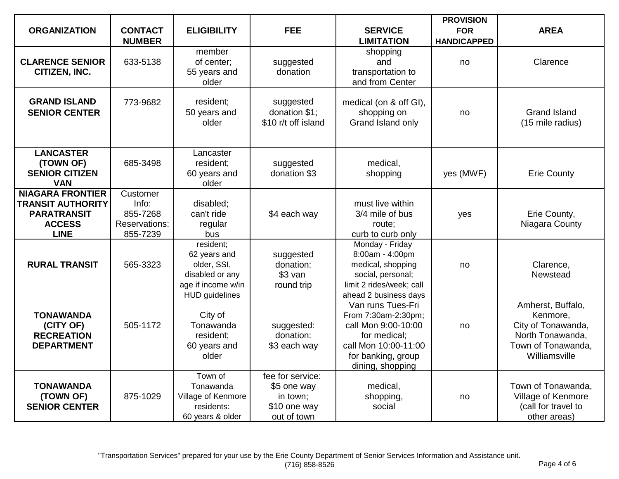| <b>ORGANIZATION</b>                                                                                       | <b>CONTACT</b>                                                    | <b>ELIGIBILITY</b>                                                                                         | <b>FEE</b>                                                                 | <b>SERVICE</b>                                                                                                                                    | <b>PROVISION</b><br><b>FOR</b> | <b>AREA</b>                                                                                                    |
|-----------------------------------------------------------------------------------------------------------|-------------------------------------------------------------------|------------------------------------------------------------------------------------------------------------|----------------------------------------------------------------------------|---------------------------------------------------------------------------------------------------------------------------------------------------|--------------------------------|----------------------------------------------------------------------------------------------------------------|
|                                                                                                           | <b>NUMBER</b>                                                     |                                                                                                            |                                                                            | <b>LIMITATION</b>                                                                                                                                 | <b>HANDICAPPED</b>             |                                                                                                                |
| <b>CLARENCE SENIOR</b><br>CITIZEN, INC.                                                                   | 633-5138                                                          | member<br>of center;<br>55 years and<br>older                                                              | suggested<br>donation                                                      | shopping<br>and<br>transportation to<br>and from Center                                                                                           | no                             | Clarence                                                                                                       |
| <b>GRAND ISLAND</b><br><b>SENIOR CENTER</b>                                                               | 773-9682                                                          | resident;<br>50 years and<br>older                                                                         | suggested<br>donation \$1;<br>\$10 r/t off island                          | medical (on & off GI),<br>shopping on<br>Grand Island only                                                                                        | no                             | <b>Grand Island</b><br>(15 mile radius)                                                                        |
| <b>LANCASTER</b><br>(TOWN OF)<br><b>SENIOR CITIZEN</b><br><b>VAN</b>                                      | 685-3498                                                          | Lancaster<br>resident;<br>60 years and<br>older                                                            | suggested<br>donation \$3                                                  | medical,<br>shopping                                                                                                                              | yes (MWF)                      | <b>Erie County</b>                                                                                             |
| <b>NIAGARA FRONTIER</b><br><b>TRANSIT AUTHORITY</b><br><b>PARATRANSIT</b><br><b>ACCESS</b><br><b>LINE</b> | Customer<br>Info:<br>855-7268<br><b>Reservations:</b><br>855-7239 | disabled;<br>can't ride<br>regular<br>bus                                                                  | \$4 each way                                                               | must live within<br>3/4 mile of bus<br>route;<br>curb to curb only                                                                                | yes                            | Erie County,<br>Niagara County                                                                                 |
| <b>RURAL TRANSIT</b>                                                                                      | 565-3323                                                          | resident;<br>62 years and<br>older, SSI,<br>disabled or any<br>age if income w/in<br><b>HUD</b> guidelines | suggested<br>donation:<br>$$3$ van<br>round trip                           | Monday - Friday<br>8:00am - 4:00pm<br>medical, shopping<br>social, personal;<br>limit 2 rides/week; call<br>ahead 2 business days                 | no                             | Clarence,<br>Newstead                                                                                          |
| <b>TONAWANDA</b><br>(CITY OF)<br><b>RECREATION</b><br><b>DEPARTMENT</b>                                   | 505-1172                                                          | City of<br>Tonawanda<br>resident;<br>60 years and<br>older                                                 | suggested:<br>donation:<br>\$3 each way                                    | Van runs Tues-Fri<br>From 7:30am-2:30pm;<br>call Mon 9:00-10:00<br>for medical;<br>call Mon 10:00-11:00<br>for banking, group<br>dining, shopping | no                             | Amherst, Buffalo,<br>Kenmore,<br>City of Tonawanda,<br>North Tonawanda,<br>Town of Tonawanda,<br>Williamsville |
| <b>TONAWANDA</b><br>(TOWN OF)<br><b>SENIOR CENTER</b>                                                     | 875-1029                                                          | Town of<br>Tonawanda<br>Village of Kenmore<br>residents:<br>60 years & older                               | fee for service:<br>\$5 one way<br>in town;<br>\$10 one way<br>out of town | medical,<br>shopping,<br>social                                                                                                                   | no                             | Town of Tonawanda,<br>Village of Kenmore<br>(call for travel to<br>other areas)                                |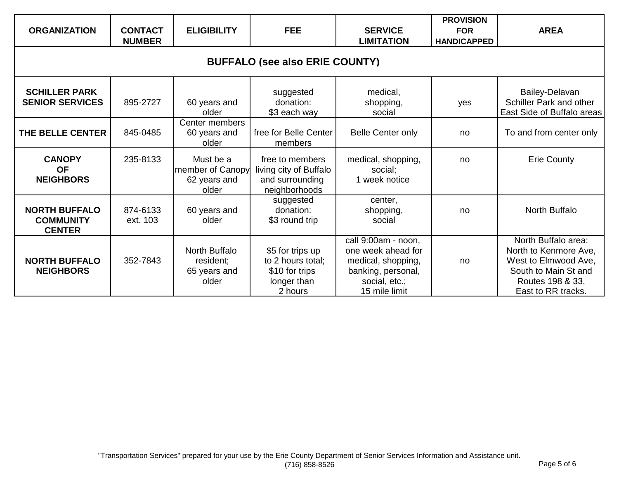| <b>ORGANIZATION</b>                                       | <b>CONTACT</b><br><b>NUMBER</b> | <b>ELIGIBILITY</b>                                     | <b>FEE</b>                                                                        | <b>SERVICE</b><br><b>LIMITATION</b>                                                                                     | <b>PROVISION</b><br><b>FOR</b><br><b>HANDICAPPED</b> | <b>AREA</b>                                                                                                                            |  |  |
|-----------------------------------------------------------|---------------------------------|--------------------------------------------------------|-----------------------------------------------------------------------------------|-------------------------------------------------------------------------------------------------------------------------|------------------------------------------------------|----------------------------------------------------------------------------------------------------------------------------------------|--|--|
| <b>BUFFALO (see also ERIE COUNTY)</b>                     |                                 |                                                        |                                                                                   |                                                                                                                         |                                                      |                                                                                                                                        |  |  |
| <b>SCHILLER PARK</b><br><b>SENIOR SERVICES</b>            | 895-2727                        | 60 years and<br>older                                  | suggested<br>donation:<br>\$3 each way                                            | medical,<br>shopping,<br>social                                                                                         | yes                                                  | Bailey-Delavan<br>Schiller Park and other<br>East Side of Buffalo areas                                                                |  |  |
| THE BELLE CENTER                                          | 845-0485                        | Center members<br>60 years and<br>older                | free for Belle Center<br>members                                                  | <b>Belle Center only</b>                                                                                                | no                                                   | To and from center only                                                                                                                |  |  |
| <b>CANOPY</b><br><b>OF</b><br><b>NEIGHBORS</b>            | 235-8133                        | Must be a<br>member of Canopy<br>62 years and<br>older | free to members<br>living city of Buffalo<br>and surrounding<br>neighborhoods     | medical, shopping,<br>social;<br>1 week notice                                                                          | no                                                   | <b>Erie County</b>                                                                                                                     |  |  |
| <b>NORTH BUFFALO</b><br><b>COMMUNITY</b><br><b>CENTER</b> | 874-6133<br>ext. 103            | 60 years and<br>older                                  | suggested<br>donation:<br>\$3 round trip                                          | center,<br>shopping,<br>social                                                                                          | no                                                   | North Buffalo                                                                                                                          |  |  |
| <b>NORTH BUFFALO</b><br><b>NEIGHBORS</b>                  | 352-7843                        | North Buffalo<br>resident;<br>65 years and<br>older    | \$5 for trips up<br>to 2 hours total;<br>\$10 for trips<br>longer than<br>2 hours | call 9:00am - noon,<br>one week ahead for<br>medical, shopping,<br>banking, personal,<br>social, etc.;<br>15 mile limit | no                                                   | North Buffalo area:<br>North to Kenmore Ave,<br>West to Elmwood Ave,<br>South to Main St and<br>Routes 198 & 33,<br>East to RR tracks. |  |  |